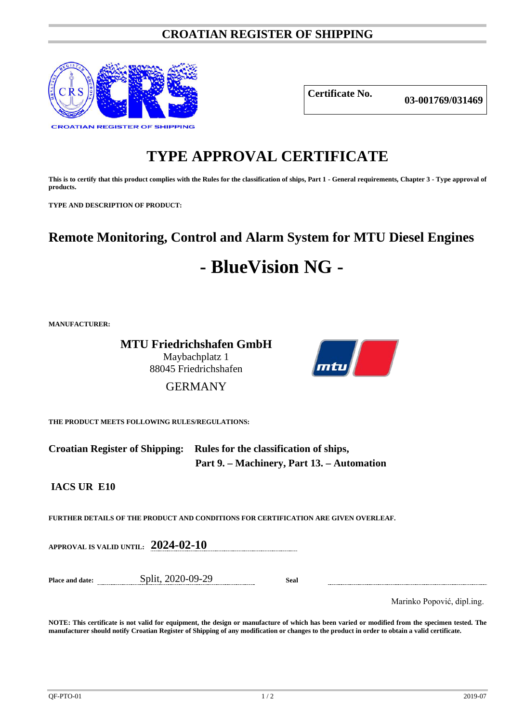## **CROATIAN REGISTER OF SHIPPING**



## **Certificate No. 03-001769/031469**

# **TYPE APPROVAL CERTIFICATE**

**This is to certify that this product complies with the Rules for the classification of ships, Part 1 - General requirements, Chapter 3 - Type approval of products.**

**TYPE AND DESCRIPTION OF PRODUCT:** 

# **Remote Monitoring, Control and Alarm System for MTU Diesel Engines**

# **- BlueVision NG -**

**MANUFACTURER:**

**MTU Friedrichshafen GmbH** Maybachplatz 1 88045 Friedrichshafen



### GERMANY

**THE PRODUCT MEETS FOLLOWING RULES/REGULATIONS:**

**Croatian Register of Shipping: Rules for the classification of ships, Part 9. – Machinery, Part 13. – Automation**

**IACS UR E10**

**FURTHER DETAILS OF THE PRODUCT AND CONDITIONS FOR CERTIFICATION ARE GIVEN OVERLEAF.**

**APPROVAL IS VALID UNTIL: 2024-02-10**

**Place and date:** Split, 2020-09-29 **Seal**

Marinko Popović, dipl.ing.

**NOTE: This certificate is not valid for equipment, the design or manufacture of which has been varied or modified from the specimen tested. The manufacturer should notify Croatian Register of Shipping of any modification or changes to the product in order to obtain a valid certificate.**